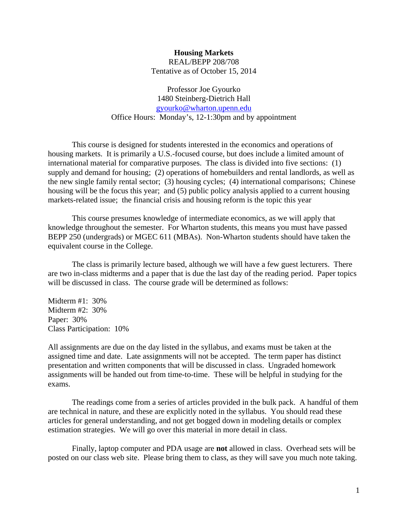# **Housing Markets**  REAL/BEPP 208/708 Tentative as of October 15, 2014

Professor Joe Gyourko 1480 Steinberg-Dietrich Hall gyourko@wharton.upenn.edu Office Hours: Monday's, 12-1:30pm and by appointment

This course is designed for students interested in the economics and operations of housing markets. It is primarily a U.S.-focused course, but does include a limited amount of international material for comparative purposes. The class is divided into five sections: (1) supply and demand for housing; (2) operations of homebuilders and rental landlords, as well as the new single family rental sector; (3) housing cycles; (4) international comparisons; Chinese housing will be the focus this year; and (5) public policy analysis applied to a current housing markets-related issue; the financial crisis and housing reform is the topic this year

This course presumes knowledge of intermediate economics, as we will apply that knowledge throughout the semester. For Wharton students, this means you must have passed BEPP 250 (undergrads) or MGEC 611 (MBAs). Non-Wharton students should have taken the equivalent course in the College.

 The class is primarily lecture based, although we will have a few guest lecturers. There are two in-class midterms and a paper that is due the last day of the reading period. Paper topics will be discussed in class. The course grade will be determined as follows:

Midterm #1: 30% Midterm #2: 30% Paper: 30% Class Participation: 10%

All assignments are due on the day listed in the syllabus, and exams must be taken at the assigned time and date. Late assignments will not be accepted. The term paper has distinct presentation and written components that will be discussed in class. Ungraded homework assignments will be handed out from time-to-time. These will be helpful in studying for the exams.

 The readings come from a series of articles provided in the bulk pack. A handful of them are technical in nature, and these are explicitly noted in the syllabus. You should read these articles for general understanding, and not get bogged down in modeling details or complex estimation strategies. We will go over this material in more detail in class.

Finally, laptop computer and PDA usage are **not** allowed in class. Overhead sets will be posted on our class web site. Please bring them to class, as they will save you much note taking.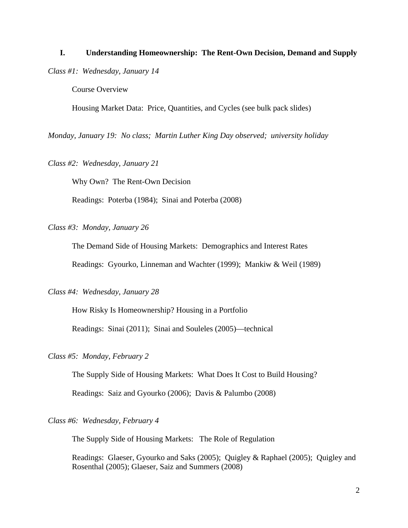### **I. Understanding Homeownership: The Rent-Own Decision, Demand and Supply**

*Class #1: Wednesday, January 14* 

Course Overview

Housing Market Data: Price, Quantities, and Cycles (see bulk pack slides)

*Monday, January 19: No class; Martin Luther King Day observed; university holiday* 

*Class #2: Wednesday, January 21* 

Why Own? The Rent-Own Decision

Readings: Poterba (1984); Sinai and Poterba (2008)

*Class #3: Monday, January 26* 

The Demand Side of Housing Markets: Demographics and Interest Rates

Readings: Gyourko, Linneman and Wachter (1999); Mankiw & Weil (1989)

*Class #4: Wednesday, January 28* 

How Risky Is Homeownership? Housing in a Portfolio

Readings: Sinai (2011); Sinai and Souleles (2005)—technical

# *Class #5: Monday, February 2*

The Supply Side of Housing Markets: What Does It Cost to Build Housing?

Readings: Saiz and Gyourko (2006); Davis & Palumbo (2008)

### *Class #6: Wednesday, February 4*

The Supply Side of Housing Markets: The Role of Regulation

Readings: Glaeser, Gyourko and Saks (2005); Quigley & Raphael (2005); Quigley and Rosenthal (2005); Glaeser, Saiz and Summers (2008)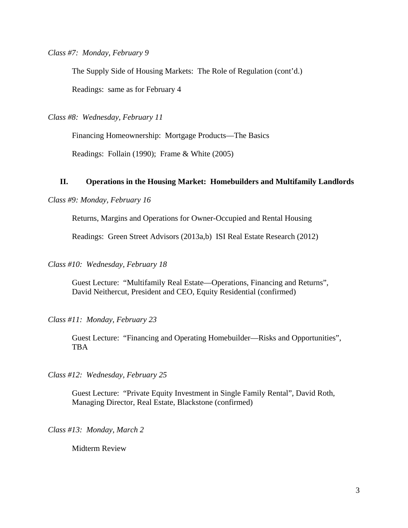*Class #7: Monday, February 9*

The Supply Side of Housing Markets: The Role of Regulation (cont'd.)

Readings: same as for February 4

*Class #8: Wednesday, February 11* 

Financing Homeownership: Mortgage Products—The Basics

Readings: Follain (1990); Frame & White (2005)

### **II. Operations in the Housing Market: Homebuilders and Multifamily Landlords**

### *Class #9: Monday, February 16*

Returns, Margins and Operations for Owner-Occupied and Rental Housing

Readings: Green Street Advisors (2013a,b) ISI Real Estate Research (2012)

*Class #10: Wednesday, February 18* 

Guest Lecture: "Multifamily Real Estate—Operations, Financing and Returns", David Neithercut, President and CEO, Equity Residential (confirmed)

*Class #11: Monday, February 23* 

 Guest Lecture: "Financing and Operating Homebuilder—Risks and Opportunities", **TBA** 

*Class #12: Wednesday, February 25* 

Guest Lecture: "Private Equity Investment in Single Family Rental", David Roth, Managing Director, Real Estate, Blackstone (confirmed)

*Class #13: Monday, March 2* 

Midterm Review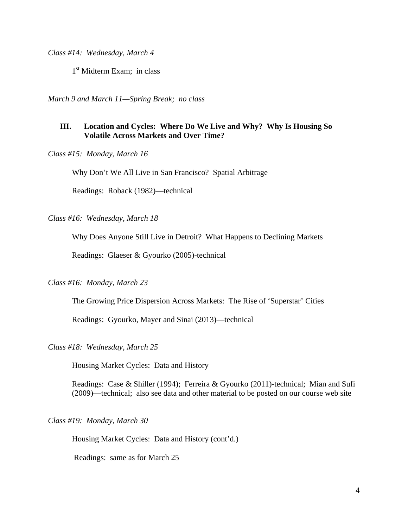*Class #14: Wednesday, March 4* 

1<sup>st</sup> Midterm Exam; in class

*March 9 and March 11—Spring Break; no class* 

# **III. Location and Cycles: Where Do We Live and Why? Why Is Housing So Volatile Across Markets and Over Time?**

*Class #15: Monday, March 16* 

Why Don't We All Live in San Francisco? Spatial Arbitrage

Readings: Roback (1982)—technical

*Class #16: Wednesday, March 18* 

Why Does Anyone Still Live in Detroit? What Happens to Declining Markets

Readings: Glaeser & Gyourko (2005)-technical

#### *Class #16: Monday, March 23*

The Growing Price Dispersion Across Markets: The Rise of 'Superstar' Cities

Readings: Gyourko, Mayer and Sinai (2013)—technical

#### *Class #18: Wednesday, March 25*

Housing Market Cycles: Data and History

Readings: Case & Shiller (1994); Ferreira & Gyourko (2011)-technical; Mian and Sufi (2009)—technical; also see data and other material to be posted on our course web site

#### *Class #19: Monday, March 30*

Housing Market Cycles: Data and History (cont'd.)

Readings: same as for March 25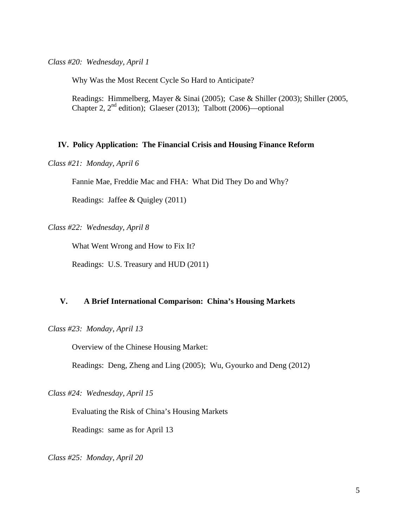*Class #20: Wednesday, April 1*

Why Was the Most Recent Cycle So Hard to Anticipate?

Readings: Himmelberg, Mayer & Sinai (2005); Case & Shiller (2003); Shiller (2005, Chapter 2,  $2<sup>nd</sup>$  edition); Glaeser (2013); Talbott (2006)—optional

### **IV. Policy Application: The Financial Crisis and Housing Finance Reform**

*Class #21: Monday, April 6* 

Fannie Mae, Freddie Mac and FHA: What Did They Do and Why?

Readings: Jaffee & Quigley (2011)

*Class #22: Wednesday, April 8* 

What Went Wrong and How to Fix It?

Readings: U.S. Treasury and HUD (2011)

# **V. A Brief International Comparison: China's Housing Markets**

*Class #23: Monday, April 13* 

Overview of the Chinese Housing Market:

Readings: Deng, Zheng and Ling (2005); Wu, Gyourko and Deng (2012)

*Class #24: Wednesday, April 15* 

Evaluating the Risk of China's Housing Markets

Readings: same as for April 13

*Class #25: Monday, April 20*